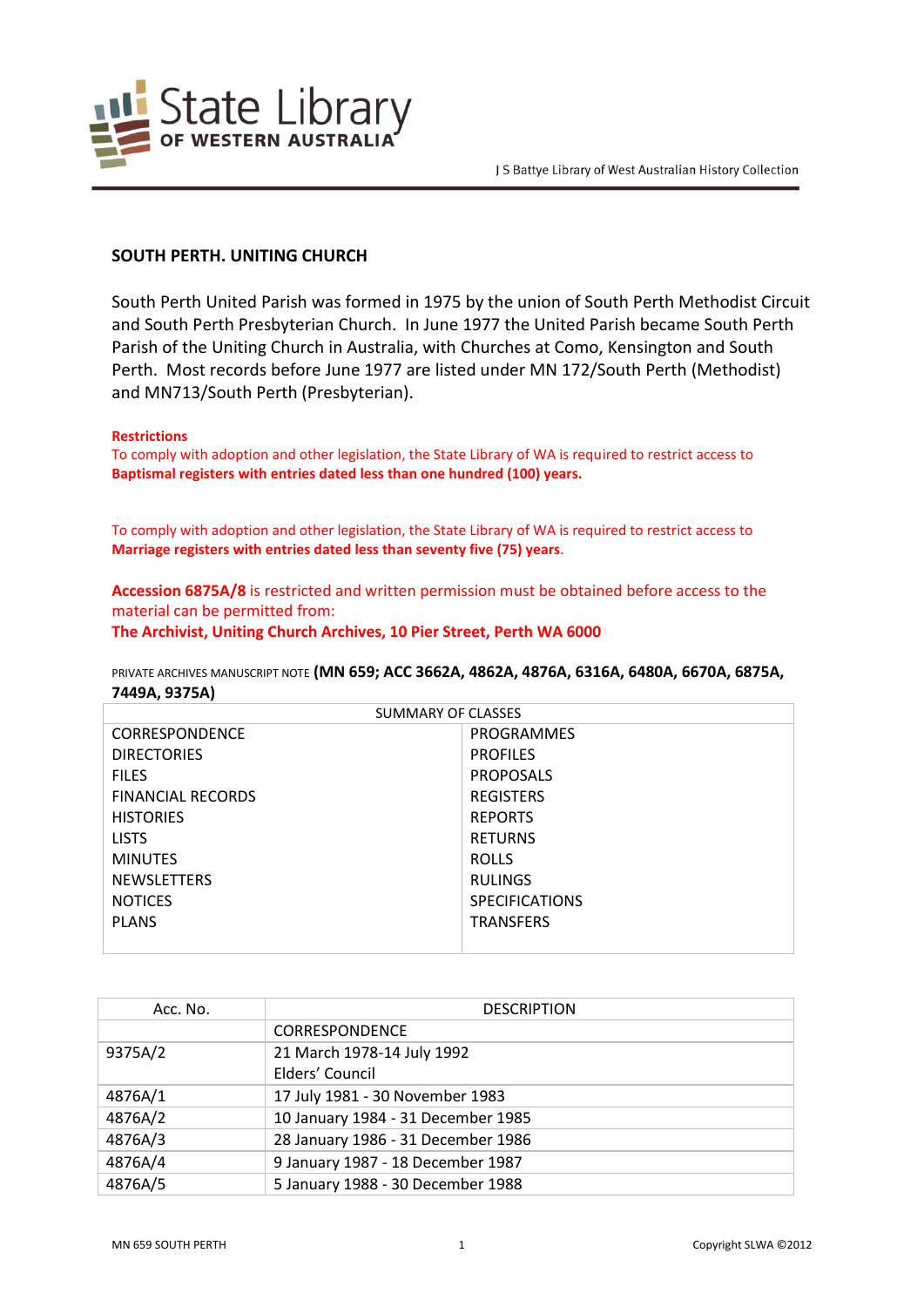

## **SOUTH PERTH. UNITING CHURCH**

South Perth United Parish was formed in 1975 by the union of South Perth Methodist Circuit and South Perth Presbyterian Church. In June 1977 the United Parish became South Perth Parish of the Uniting Church in Australia, with Churches at Como, Kensington and South Perth. Most records before June 1977 are listed under MN 172/South Perth (Methodist) and MN713/South Perth (Presbyterian).

#### **Restrictions**

To comply with adoption and other legislation, the State Library of WA is required to restrict access to **Baptismal registers with entries dated less than one hundred (100) years.**

To comply with adoption and other legislation, the State Library of WA is required to restrict access to **Marriage registers with entries dated less than seventy five (75) years**.

**Accession 6875A/8** is restricted and written permission must be obtained before access to the material can be permitted from: **The Archivist, Uniting Church Archives, 10 Pier Street, Perth WA 6000**

PRIVATE ARCHIVES MANUSCRIPT NOTE **(MN 659; ACC 3662A, 4862A, 4876A, 6316A, 6480A, 6670A, 6875A, 7449A, 9375A)**

| <b>SUMMARY OF CLASSES</b> |                       |  |
|---------------------------|-----------------------|--|
| <b>CORRESPONDENCE</b>     | PROGRAMMES            |  |
| <b>DIRECTORIES</b>        | <b>PROFILES</b>       |  |
| <b>FILES</b>              | <b>PROPOSALS</b>      |  |
| <b>FINANCIAL RECORDS</b>  | <b>REGISTERS</b>      |  |
| <b>HISTORIES</b>          | <b>REPORTS</b>        |  |
| <b>LISTS</b>              | <b>RETURNS</b>        |  |
| <b>MINUTES</b>            | <b>ROLLS</b>          |  |
| <b>NEWSLETTERS</b>        | <b>RULINGS</b>        |  |
| <b>NOTICES</b>            | <b>SPECIFICATIONS</b> |  |
| <b>PLANS</b>              | <b>TRANSFERS</b>      |  |
|                           |                       |  |

| Acc. No. | <b>DESCRIPTION</b>                 |
|----------|------------------------------------|
|          | <b>CORRESPONDENCE</b>              |
| 9375A/2  | 21 March 1978-14 July 1992         |
|          | Elders' Council                    |
| 4876A/1  | 17 July 1981 - 30 November 1983    |
| 4876A/2  | 10 January 1984 - 31 December 1985 |
| 4876A/3  | 28 January 1986 - 31 December 1986 |
| 4876A/4  | 9 January 1987 - 18 December 1987  |
| 4876A/5  | 5 January 1988 - 30 December 1988  |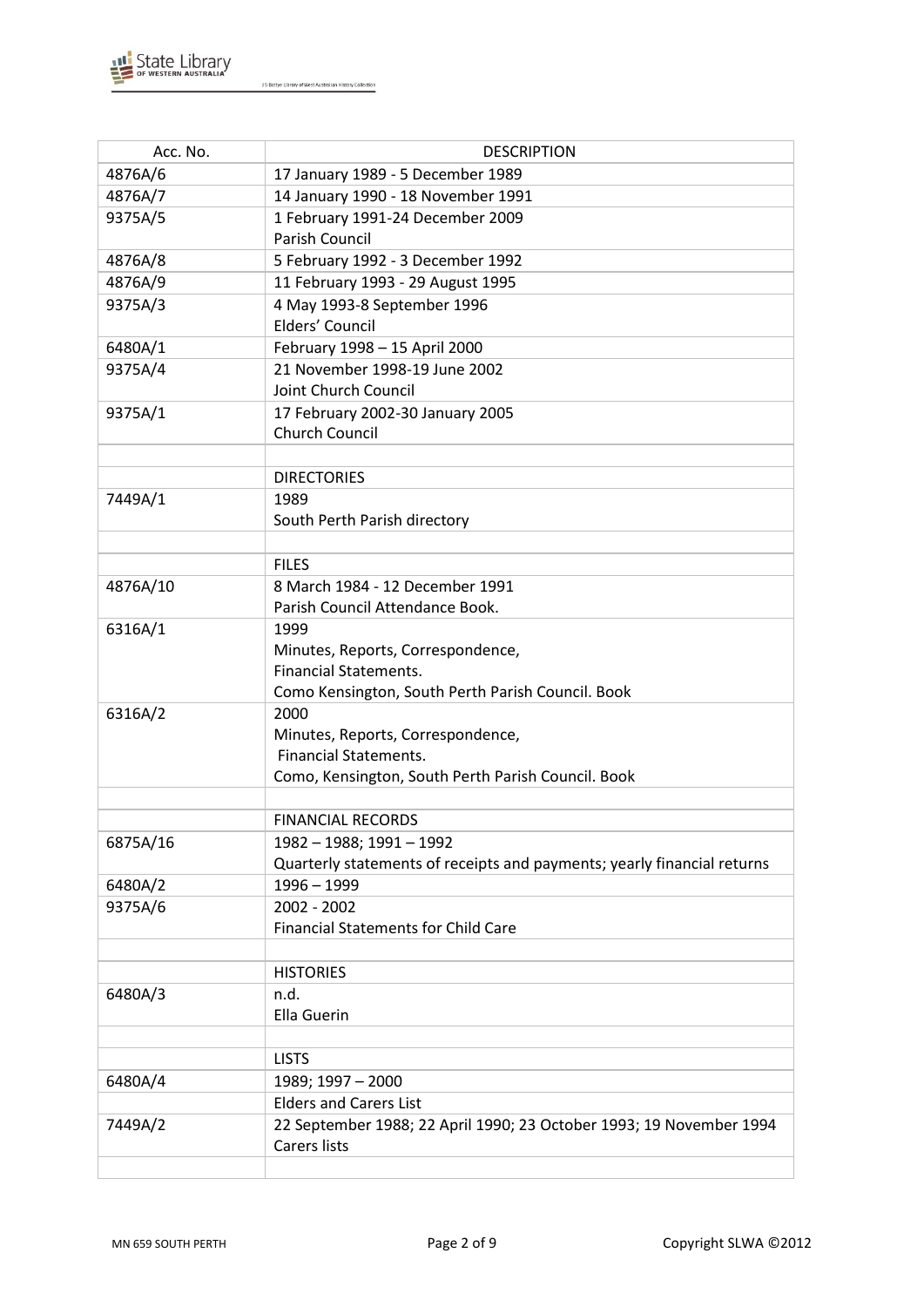

| Acc. No. | <b>DESCRIPTION</b>                                                      |  |
|----------|-------------------------------------------------------------------------|--|
| 4876A/6  | 17 January 1989 - 5 December 1989                                       |  |
| 4876A/7  | 14 January 1990 - 18 November 1991                                      |  |
| 9375A/5  | 1 February 1991-24 December 2009                                        |  |
|          | <b>Parish Council</b>                                                   |  |
| 4876A/8  | 5 February 1992 - 3 December 1992                                       |  |
| 4876A/9  | 11 February 1993 - 29 August 1995                                       |  |
| 9375A/3  | 4 May 1993-8 September 1996                                             |  |
|          | Elders' Council                                                         |  |
| 6480A/1  | February 1998 - 15 April 2000                                           |  |
| 9375A/4  | 21 November 1998-19 June 2002                                           |  |
|          | Joint Church Council                                                    |  |
| 9375A/1  | 17 February 2002-30 January 2005                                        |  |
|          | Church Council                                                          |  |
|          |                                                                         |  |
|          | <b>DIRECTORIES</b>                                                      |  |
| 7449A/1  | 1989                                                                    |  |
|          | South Perth Parish directory                                            |  |
|          |                                                                         |  |
|          | <b>FILES</b>                                                            |  |
| 4876A/10 | 8 March 1984 - 12 December 1991                                         |  |
|          | Parish Council Attendance Book.                                         |  |
| 6316A/1  | 1999                                                                    |  |
|          | Minutes, Reports, Correspondence,                                       |  |
|          | <b>Financial Statements.</b>                                            |  |
|          | Como Kensington, South Perth Parish Council. Book                       |  |
| 6316A/2  | 2000                                                                    |  |
|          | Minutes, Reports, Correspondence,                                       |  |
|          | <b>Financial Statements.</b>                                            |  |
|          | Como, Kensington, South Perth Parish Council. Book                      |  |
|          | <b>FINANCIAL RECORDS</b>                                                |  |
| 6875A/16 | 1982 - 1988; 1991 - 1992                                                |  |
|          | Quarterly statements of receipts and payments; yearly financial returns |  |
| 6480A/2  | $1996 - 1999$                                                           |  |
| 9375A/6  | 2002 - 2002                                                             |  |
|          | <b>Financial Statements for Child Care</b>                              |  |
|          |                                                                         |  |
|          | <b>HISTORIES</b>                                                        |  |
| 6480A/3  | n.d.                                                                    |  |
|          | <b>Ella Guerin</b>                                                      |  |
|          |                                                                         |  |
|          | <b>LISTS</b>                                                            |  |
| 6480A/4  | 1989; 1997 - 2000                                                       |  |
|          | <b>Elders and Carers List</b>                                           |  |
| 7449A/2  | 22 September 1988; 22 April 1990; 23 October 1993; 19 November 1994     |  |
|          | <b>Carers lists</b>                                                     |  |
|          |                                                                         |  |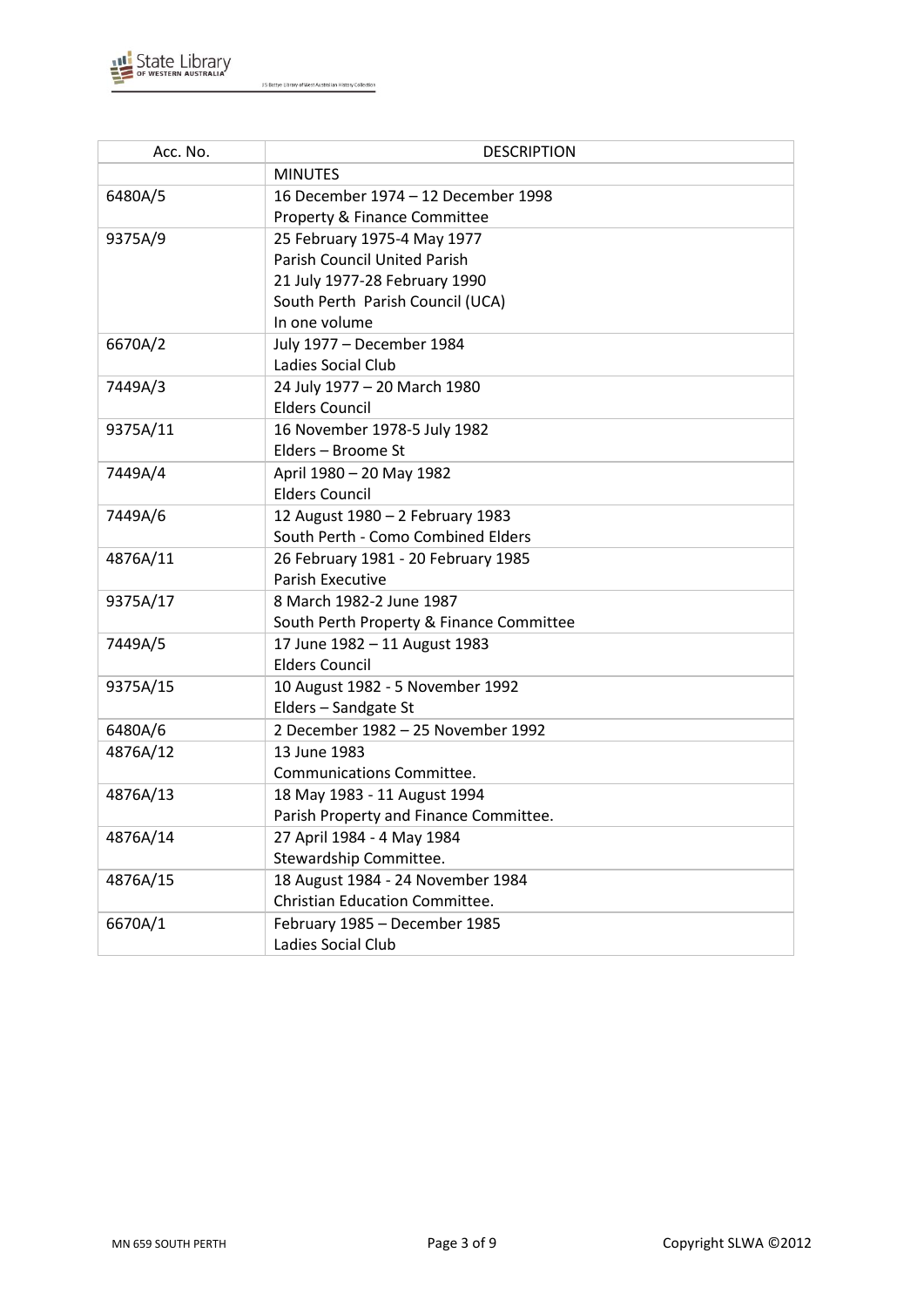

| Acc. No. | <b>DESCRIPTION</b>                       |
|----------|------------------------------------------|
|          | <b>MINUTES</b>                           |
| 6480A/5  | 16 December 1974 - 12 December 1998      |
|          | Property & Finance Committee             |
| 9375A/9  | 25 February 1975-4 May 1977              |
|          | <b>Parish Council United Parish</b>      |
|          | 21 July 1977-28 February 1990            |
|          | South Perth Parish Council (UCA)         |
|          | In one volume                            |
| 6670A/2  | July 1977 - December 1984                |
|          | Ladies Social Club                       |
| 7449A/3  | 24 July 1977 - 20 March 1980             |
|          | <b>Elders Council</b>                    |
| 9375A/11 | 16 November 1978-5 July 1982             |
|          | Elders - Broome St                       |
| 7449A/4  | April 1980 - 20 May 1982                 |
|          | <b>Elders Council</b>                    |
| 7449A/6  | 12 August 1980 - 2 February 1983         |
|          | South Perth - Como Combined Elders       |
| 4876A/11 | 26 February 1981 - 20 February 1985      |
|          | <b>Parish Executive</b>                  |
| 9375A/17 | 8 March 1982-2 June 1987                 |
|          | South Perth Property & Finance Committee |
| 7449A/5  | 17 June 1982 - 11 August 1983            |
|          | <b>Elders Council</b>                    |
| 9375A/15 | 10 August 1982 - 5 November 1992         |
|          | Elders - Sandgate St                     |
| 6480A/6  | 2 December 1982 - 25 November 1992       |
| 4876A/12 | 13 June 1983                             |
|          | Communications Committee.                |
| 4876A/13 | 18 May 1983 - 11 August 1994             |
|          | Parish Property and Finance Committee.   |
| 4876A/14 | 27 April 1984 - 4 May 1984               |
|          | Stewardship Committee.                   |
| 4876A/15 | 18 August 1984 - 24 November 1984        |
|          | Christian Education Committee.           |
| 6670A/1  | February 1985 - December 1985            |
|          | Ladies Social Club                       |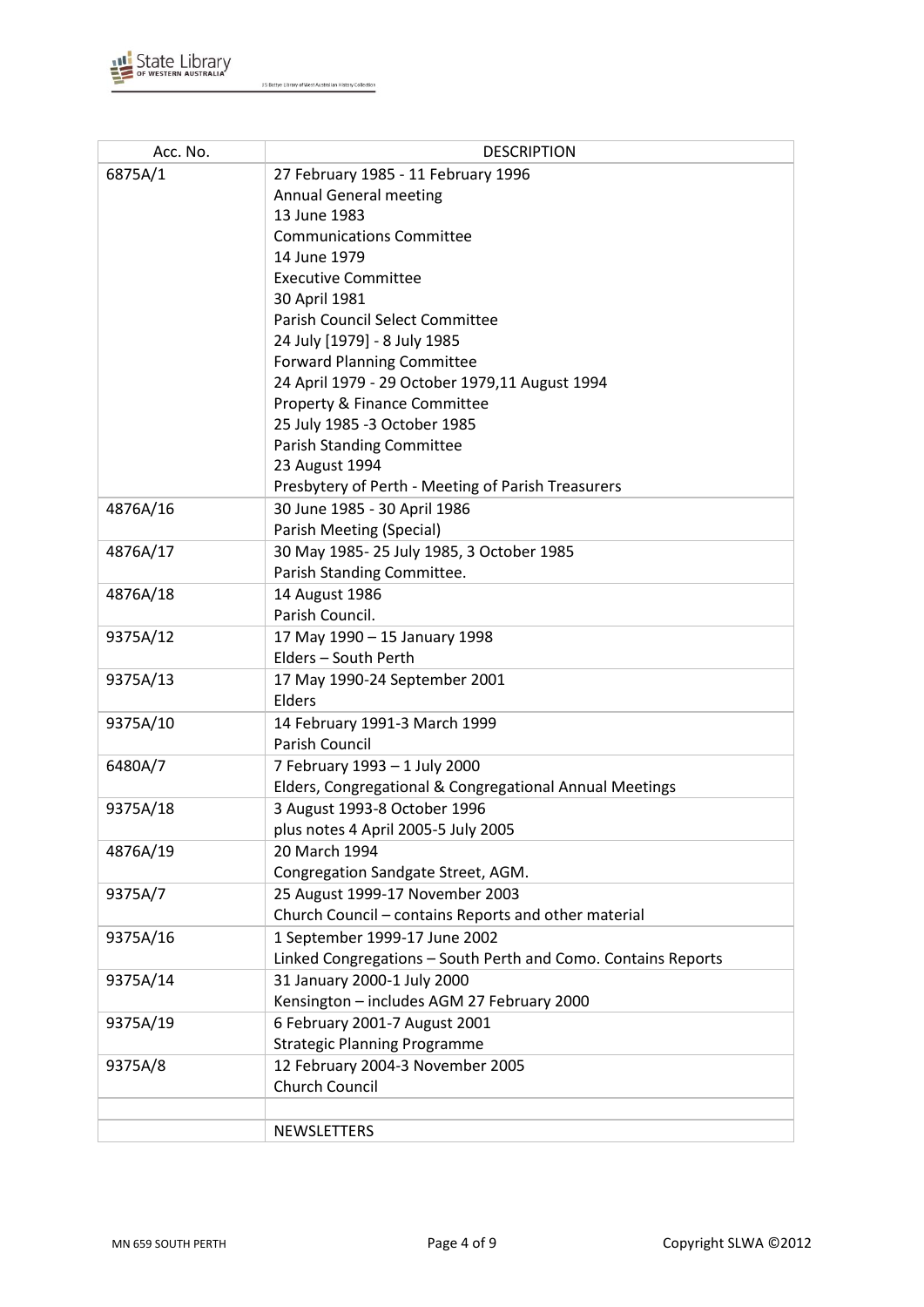

| Acc. No. | <b>DESCRIPTION</b>                                            |  |  |
|----------|---------------------------------------------------------------|--|--|
| 6875A/1  | 27 February 1985 - 11 February 1996                           |  |  |
|          | <b>Annual General meeting</b>                                 |  |  |
|          | 13 June 1983                                                  |  |  |
|          | <b>Communications Committee</b>                               |  |  |
|          | 14 June 1979                                                  |  |  |
|          | <b>Executive Committee</b>                                    |  |  |
|          | 30 April 1981                                                 |  |  |
|          | Parish Council Select Committee                               |  |  |
|          | 24 July [1979] - 8 July 1985                                  |  |  |
|          | <b>Forward Planning Committee</b>                             |  |  |
|          | 24 April 1979 - 29 October 1979,11 August 1994                |  |  |
|          | Property & Finance Committee                                  |  |  |
|          | 25 July 1985 -3 October 1985                                  |  |  |
|          | <b>Parish Standing Committee</b>                              |  |  |
|          | 23 August 1994                                                |  |  |
|          | Presbytery of Perth - Meeting of Parish Treasurers            |  |  |
| 4876A/16 | 30 June 1985 - 30 April 1986                                  |  |  |
|          | Parish Meeting (Special)                                      |  |  |
| 4876A/17 | 30 May 1985-25 July 1985, 3 October 1985                      |  |  |
|          | Parish Standing Committee.                                    |  |  |
| 4876A/18 | 14 August 1986<br>Parish Council.                             |  |  |
| 9375A/12 | 17 May 1990 - 15 January 1998                                 |  |  |
|          | Elders - South Perth                                          |  |  |
| 9375A/13 | 17 May 1990-24 September 2001                                 |  |  |
|          | Elders                                                        |  |  |
| 9375A/10 | 14 February 1991-3 March 1999                                 |  |  |
|          | Parish Council                                                |  |  |
| 6480A/7  | 7 February 1993 - 1 July 2000                                 |  |  |
|          | Elders, Congregational & Congregational Annual Meetings       |  |  |
| 9375A/18 | 3 August 1993-8 October 1996                                  |  |  |
|          | plus notes 4 April 2005-5 July 2005                           |  |  |
| 4876A/19 | 20 March 1994                                                 |  |  |
|          | Congregation Sandgate Street, AGM.                            |  |  |
| 9375A/7  | 25 August 1999-17 November 2003                               |  |  |
|          | Church Council - contains Reports and other material          |  |  |
| 9375A/16 | 1 September 1999-17 June 2002                                 |  |  |
|          | Linked Congregations - South Perth and Como. Contains Reports |  |  |
| 9375A/14 | 31 January 2000-1 July 2000                                   |  |  |
|          | Kensington - includes AGM 27 February 2000                    |  |  |
| 9375A/19 | 6 February 2001-7 August 2001                                 |  |  |
|          | <b>Strategic Planning Programme</b>                           |  |  |
| 9375A/8  | 12 February 2004-3 November 2005                              |  |  |
|          | Church Council                                                |  |  |
|          |                                                               |  |  |
|          | NEWSLETTERS                                                   |  |  |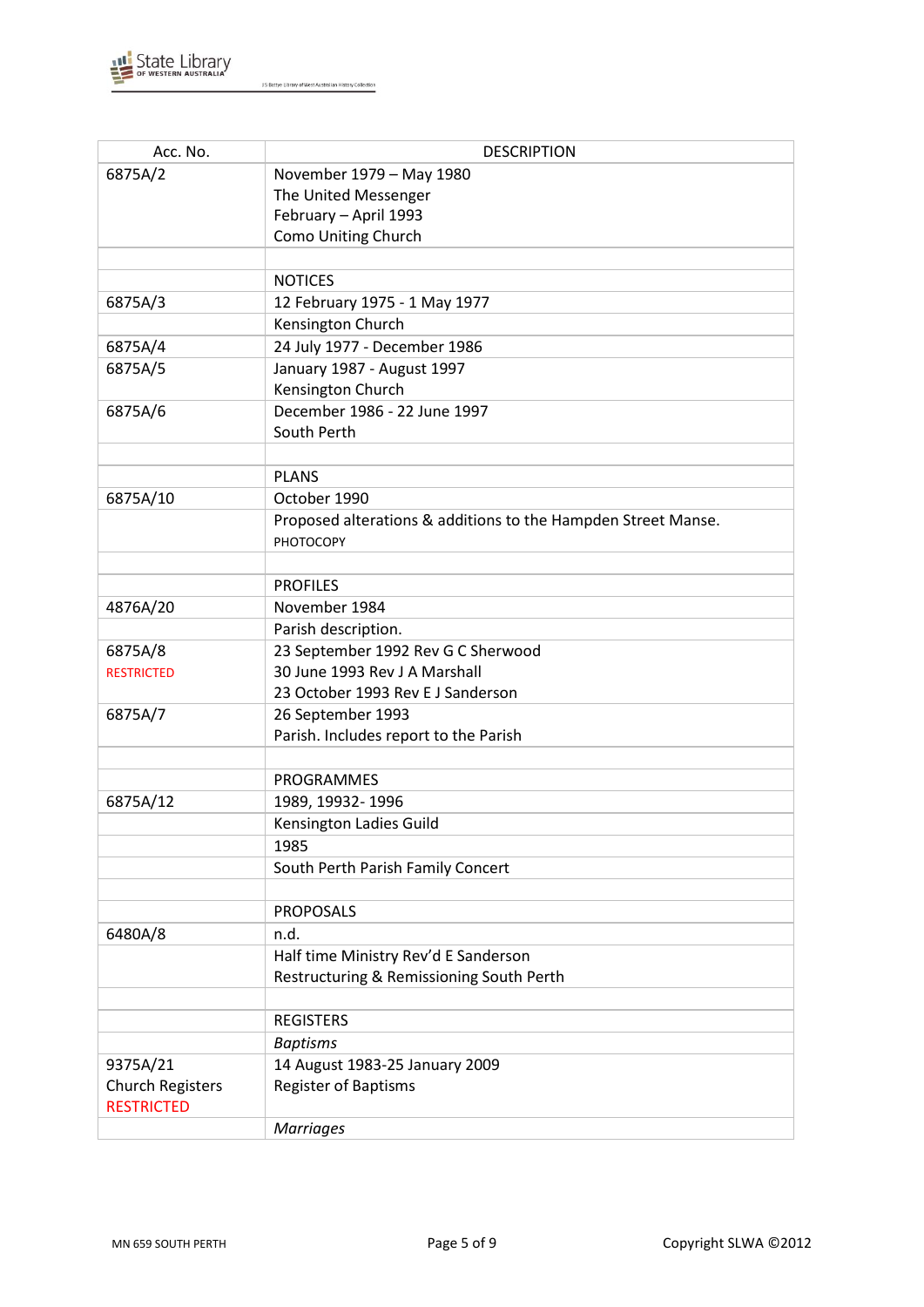

| Acc. No.                | <b>DESCRIPTION</b>                                            |  |
|-------------------------|---------------------------------------------------------------|--|
| 6875A/2                 | November 1979 - May 1980                                      |  |
|                         | The United Messenger                                          |  |
|                         | February - April 1993                                         |  |
|                         | Como Uniting Church                                           |  |
|                         |                                                               |  |
|                         | <b>NOTICES</b>                                                |  |
| 6875A/3                 | 12 February 1975 - 1 May 1977                                 |  |
|                         | Kensington Church                                             |  |
| 6875A/4                 | 24 July 1977 - December 1986                                  |  |
| 6875A/5                 | January 1987 - August 1997                                    |  |
|                         | Kensington Church                                             |  |
| 6875A/6                 | December 1986 - 22 June 1997                                  |  |
|                         | South Perth                                                   |  |
|                         |                                                               |  |
|                         | <b>PLANS</b>                                                  |  |
| 6875A/10                | October 1990                                                  |  |
|                         | Proposed alterations & additions to the Hampden Street Manse. |  |
|                         | <b>PHOTOCOPY</b>                                              |  |
|                         |                                                               |  |
|                         | <b>PROFILES</b>                                               |  |
| 4876A/20                | November 1984                                                 |  |
|                         | Parish description.                                           |  |
| 6875A/8                 | 23 September 1992 Rev G C Sherwood                            |  |
| <b>RESTRICTED</b>       | 30 June 1993 Rev J A Marshall                                 |  |
|                         | 23 October 1993 Rev E J Sanderson                             |  |
| 6875A/7                 | 26 September 1993                                             |  |
|                         | Parish. Includes report to the Parish                         |  |
|                         |                                                               |  |
|                         | <b>PROGRAMMES</b>                                             |  |
| 6875A/12                | 1989, 19932-1996                                              |  |
|                         | Kensington Ladies Guild                                       |  |
|                         | 1985                                                          |  |
|                         | South Perth Parish Family Concert                             |  |
|                         | <b>PROPOSALS</b>                                              |  |
| 6480A/8                 | n.d.                                                          |  |
|                         | Half time Ministry Rev'd E Sanderson                          |  |
|                         | Restructuring & Remissioning South Perth                      |  |
|                         |                                                               |  |
|                         | <b>REGISTERS</b>                                              |  |
|                         | <b>Baptisms</b>                                               |  |
| 9375A/21                | 14 August 1983-25 January 2009                                |  |
| <b>Church Registers</b> | <b>Register of Baptisms</b>                                   |  |
| <b>RESTRICTED</b>       |                                                               |  |
|                         | <b>Marriages</b>                                              |  |
|                         |                                                               |  |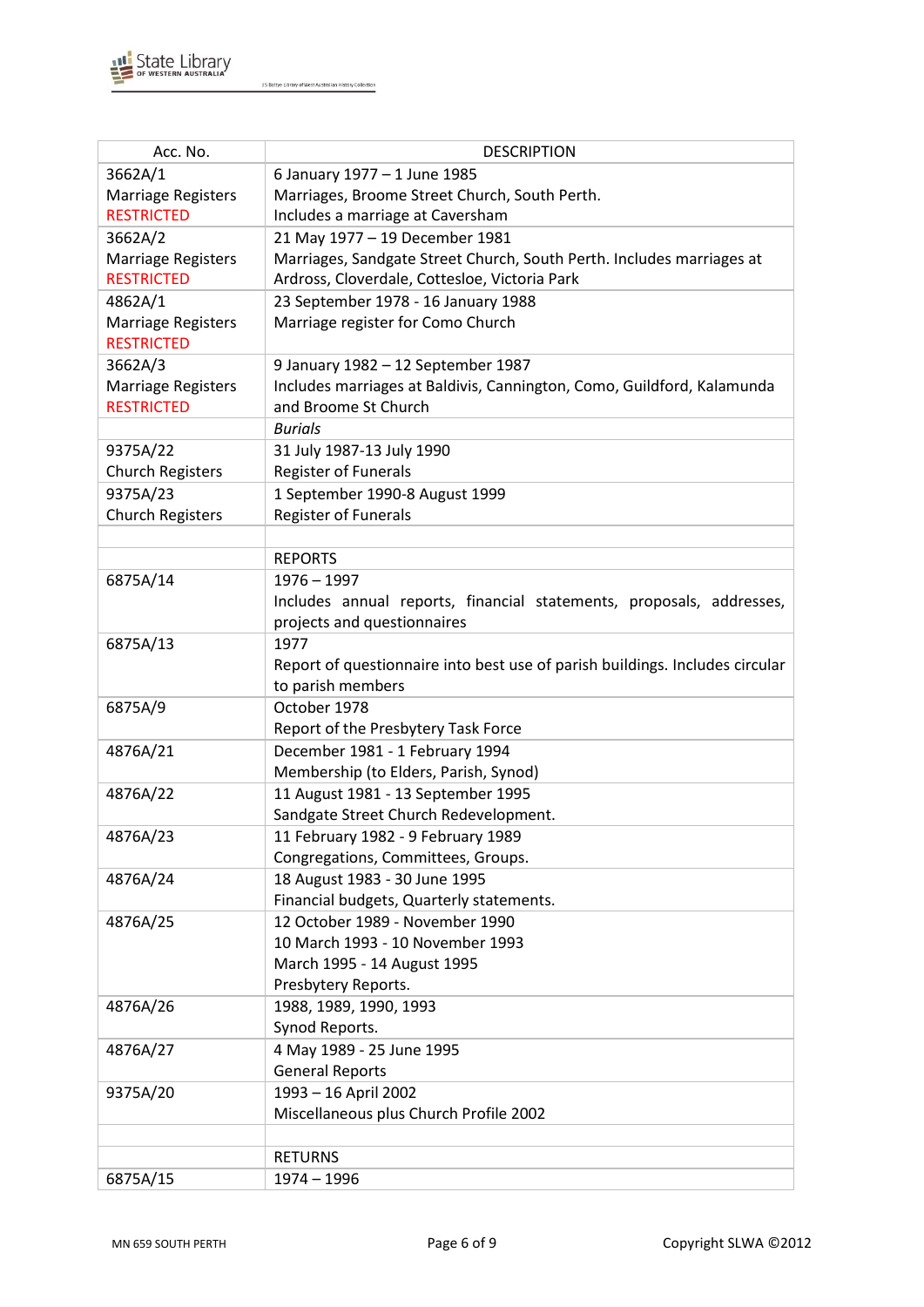

| Acc. No.                  | <b>DESCRIPTION</b>                                                           |  |  |
|---------------------------|------------------------------------------------------------------------------|--|--|
| 3662A/1                   | 6 January 1977 - 1 June 1985                                                 |  |  |
| <b>Marriage Registers</b> | Marriages, Broome Street Church, South Perth.                                |  |  |
| <b>RESTRICTED</b>         | Includes a marriage at Caversham                                             |  |  |
| 3662A/2                   | 21 May 1977 - 19 December 1981                                               |  |  |
| Marriage Registers        | Marriages, Sandgate Street Church, South Perth. Includes marriages at        |  |  |
| <b>RESTRICTED</b>         | Ardross, Cloverdale, Cottesloe, Victoria Park                                |  |  |
| 4862A/1                   | 23 September 1978 - 16 January 1988                                          |  |  |
| <b>Marriage Registers</b> | Marriage register for Como Church                                            |  |  |
| <b>RESTRICTED</b>         |                                                                              |  |  |
| 3662A/3                   | 9 January 1982 - 12 September 1987                                           |  |  |
| Marriage Registers        | Includes marriages at Baldivis, Cannington, Como, Guildford, Kalamunda       |  |  |
| <b>RESTRICTED</b>         | and Broome St Church                                                         |  |  |
|                           | <b>Burials</b>                                                               |  |  |
| 9375A/22                  | 31 July 1987-13 July 1990                                                    |  |  |
| <b>Church Registers</b>   | <b>Register of Funerals</b>                                                  |  |  |
| 9375A/23                  | 1 September 1990-8 August 1999                                               |  |  |
| <b>Church Registers</b>   | <b>Register of Funerals</b>                                                  |  |  |
|                           |                                                                              |  |  |
|                           | <b>REPORTS</b>                                                               |  |  |
| 6875A/14                  | $1976 - 1997$                                                                |  |  |
|                           | Includes annual reports, financial statements, proposals, addresses,         |  |  |
|                           | projects and questionnaires                                                  |  |  |
| 6875A/13                  | 1977                                                                         |  |  |
|                           | Report of questionnaire into best use of parish buildings. Includes circular |  |  |
|                           | to parish members                                                            |  |  |
| 6875A/9                   | October 1978                                                                 |  |  |
|                           | Report of the Presbytery Task Force                                          |  |  |
| 4876A/21                  | December 1981 - 1 February 1994                                              |  |  |
|                           | Membership (to Elders, Parish, Synod)                                        |  |  |
| 4876A/22                  | 11 August 1981 - 13 September 1995                                           |  |  |
|                           | Sandgate Street Church Redevelopment.                                        |  |  |
| 4876A/23                  | 11 February 1982 - 9 February 1989                                           |  |  |
|                           | Congregations, Committees, Groups.                                           |  |  |
| 4876A/24                  | 18 August 1983 - 30 June 1995                                                |  |  |
|                           | Financial budgets, Quarterly statements.<br>12 October 1989 - November 1990  |  |  |
| 4876A/25                  | 10 March 1993 - 10 November 1993                                             |  |  |
|                           | March 1995 - 14 August 1995                                                  |  |  |
|                           | Presbytery Reports.                                                          |  |  |
| 4876A/26                  | 1988, 1989, 1990, 1993                                                       |  |  |
|                           | Synod Reports.                                                               |  |  |
| 4876A/27                  | 4 May 1989 - 25 June 1995                                                    |  |  |
|                           | <b>General Reports</b>                                                       |  |  |
| 9375A/20                  | 1993 - 16 April 2002                                                         |  |  |
|                           | Miscellaneous plus Church Profile 2002                                       |  |  |
|                           |                                                                              |  |  |
|                           | <b>RETURNS</b>                                                               |  |  |
| 6875A/15                  | $1974 - 1996$                                                                |  |  |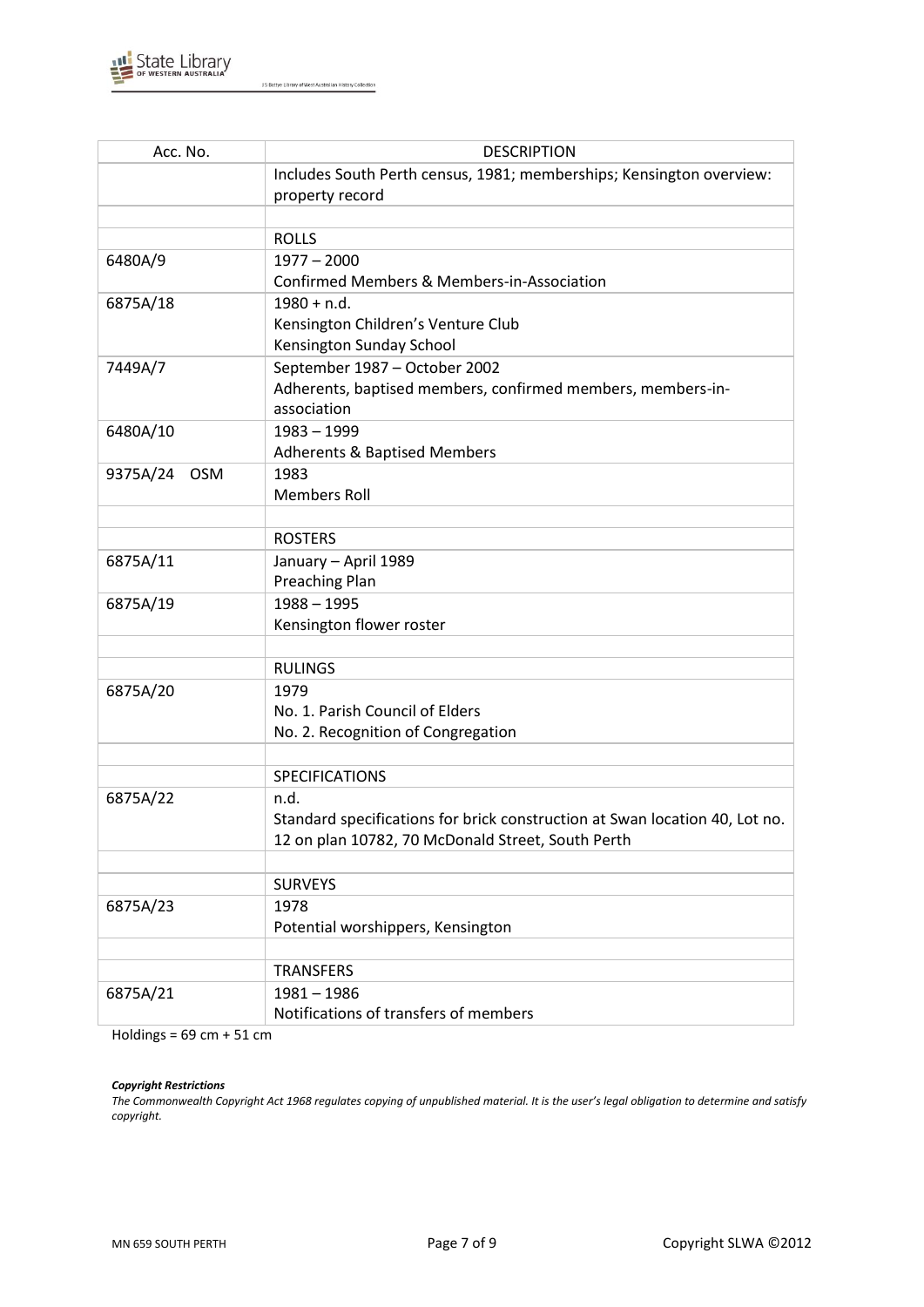

| Acc. No.               | <b>DESCRIPTION</b>                                                          |  |
|------------------------|-----------------------------------------------------------------------------|--|
|                        | Includes South Perth census, 1981; memberships; Kensington overview:        |  |
|                        | property record                                                             |  |
|                        |                                                                             |  |
|                        | <b>ROLLS</b>                                                                |  |
| 6480A/9                | $1977 - 2000$                                                               |  |
|                        | <b>Confirmed Members &amp; Members-in-Association</b>                       |  |
| 6875A/18               | $1980 + n.d.$                                                               |  |
|                        | Kensington Children's Venture Club                                          |  |
|                        | Kensington Sunday School                                                    |  |
| 7449A/7                | September 1987 - October 2002                                               |  |
|                        | Adherents, baptised members, confirmed members, members-in-                 |  |
|                        | association                                                                 |  |
| 6480A/10               | $1983 - 1999$                                                               |  |
|                        | <b>Adherents &amp; Baptised Members</b>                                     |  |
| 9375A/24<br><b>OSM</b> | 1983                                                                        |  |
|                        | <b>Members Roll</b>                                                         |  |
|                        |                                                                             |  |
|                        | <b>ROSTERS</b>                                                              |  |
| 6875A/11               | January - April 1989                                                        |  |
|                        | <b>Preaching Plan</b>                                                       |  |
| 6875A/19               | $1988 - 1995$                                                               |  |
|                        | Kensington flower roster                                                    |  |
|                        | <b>RULINGS</b>                                                              |  |
| 6875A/20               | 1979                                                                        |  |
|                        | No. 1. Parish Council of Elders                                             |  |
|                        | No. 2. Recognition of Congregation                                          |  |
|                        |                                                                             |  |
|                        | SPECIFICATIONS                                                              |  |
| 6875A/22               | n.d.                                                                        |  |
|                        | Standard specifications for brick construction at Swan location 40, Lot no. |  |
|                        | 12 on plan 10782, 70 McDonald Street, South Perth                           |  |
|                        |                                                                             |  |
|                        | <b>SURVEYS</b>                                                              |  |
| 6875A/23               | 1978                                                                        |  |
|                        | Potential worshippers, Kensington                                           |  |
|                        |                                                                             |  |
|                        | <b>TRANSFERS</b>                                                            |  |
| 6875A/21               | $1981 - 1986$                                                               |  |
|                        | Notifications of transfers of members                                       |  |

Holdings =  $69$  cm +  $51$  cm

#### *Copyright Restrictions*

*The Commonwealth Copyright Act 1968 regulates copying of unpublished material. It is the user's legal obligation to determine and satisfy copyright.*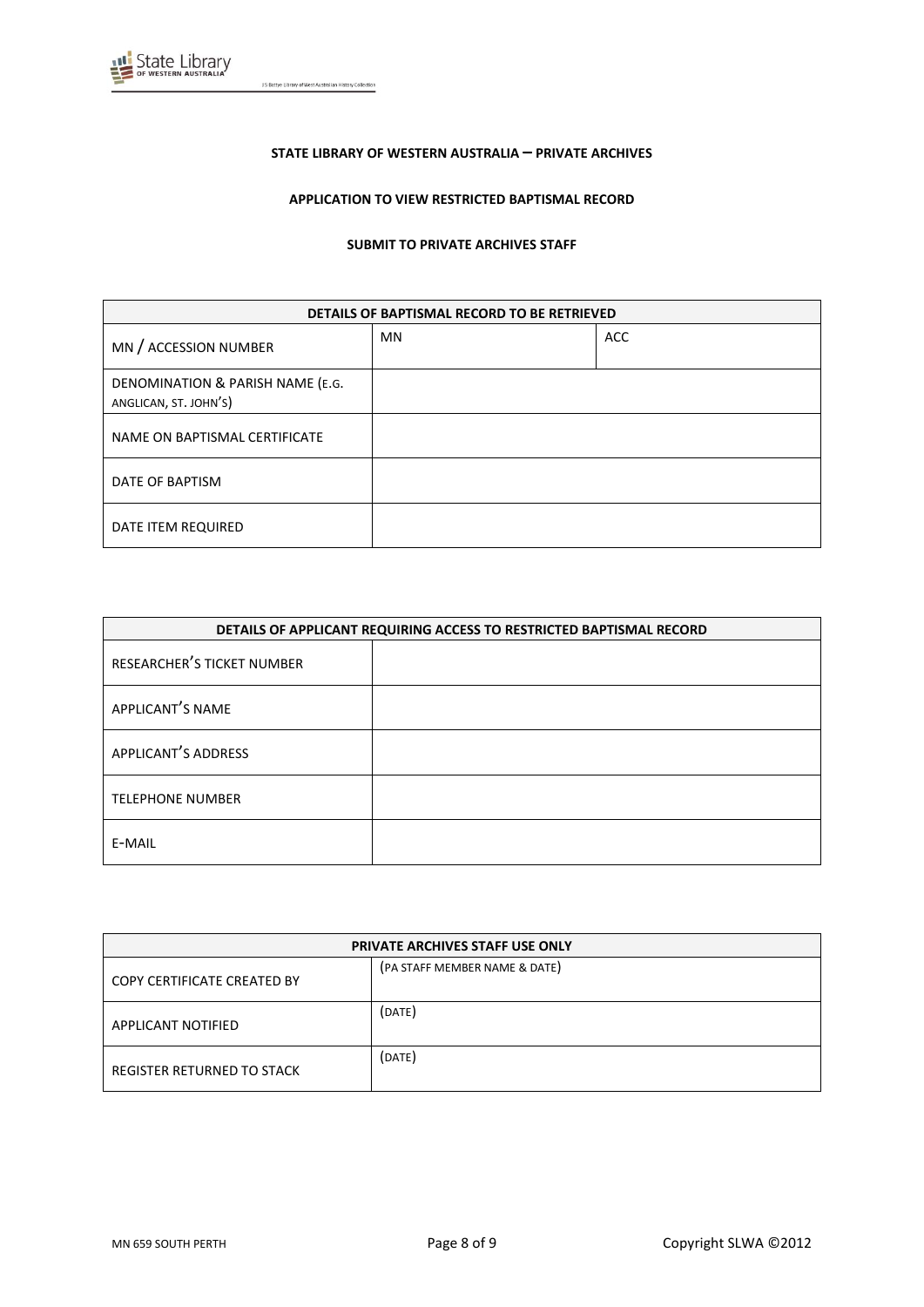

### **STATE LIBRARY OF WESTERN AUSTRALIA – PRIVATE ARCHIVES**

### **APPLICATION TO VIEW RESTRICTED BAPTISMAL RECORD**

#### **SUBMIT TO PRIVATE ARCHIVES STAFF**

| DETAILS OF BAPTISMAL RECORD TO BE RETRIEVED               |           |            |
|-----------------------------------------------------------|-----------|------------|
| MN / ACCESSION NUMBER                                     | <b>MN</b> | <b>ACC</b> |
| DENOMINATION & PARISH NAME (E.G.<br>ANGLICAN, ST. JOHN'S) |           |            |
| NAME ON BAPTISMAL CERTIFICATE                             |           |            |
| DATE OF BAPTISM                                           |           |            |
| DATE ITEM REQUIRED                                        |           |            |

| DETAILS OF APPLICANT REQUIRING ACCESS TO RESTRICTED BAPTISMAL RECORD |  |  |
|----------------------------------------------------------------------|--|--|
| RESEARCHER'S TICKET NUMBER                                           |  |  |
| APPLICANT'S NAME                                                     |  |  |
| APPLICANT'S ADDRESS                                                  |  |  |
| <b>TELEPHONE NUMBER</b>                                              |  |  |
| E-MAIL                                                               |  |  |

| <b>PRIVATE ARCHIVES STAFF USE ONLY</b> |                               |  |
|----------------------------------------|-------------------------------|--|
| COPY CERTIFICATE CREATED BY            | (PA STAFF MEMBER NAME & DATE) |  |
| <b>APPLICANT NOTIFIED</b>              | (DATE)                        |  |
| REGISTER RETURNED TO STACK             | (DATE)                        |  |